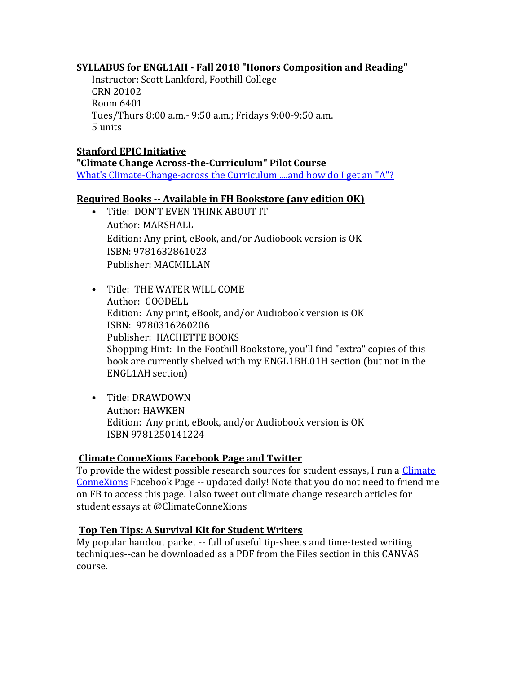## **SYLLABUS for ENGL1AH - Fall 2018 "Honors Composition and Reading"**

Instructor: Scott Lankford, Foothill College CRN 20102 Room 6401 Tues/Thurs 8:00 a.m.- 9:50 a.m.; Fridays 9:00-9:50 a.m. 5 units

#### **Stanford EPIC Initiative**

**"Climate Change Across-the-Curriculum" Pilot Course** [What's Climate-Change-across the Curriculum ....and how do I get an "A"?](https://www.youtube.com/watch?v=MwNlTV1oSeY)

#### **Required Books -- Available in FH Bookstore (any edition OK)**

- Title: DON'T EVEN THINK ABOUT IT Author: MARSHALL Edition: Any print, eBook, and/or Audiobook version is OK ISBN: 9781632861023 Publisher: MACMILLAN
- Title: THE WATER WILL COME Author: GOODELL Edition: Any print, eBook, and/or Audiobook version is OK ISBN: 9780316260206 Publisher: HACHETTE BOOKS Shopping Hint: In the Foothill Bookstore, you'll find "extra" copies of this book are currently shelved with my ENGL1BH.01H section (but not in the ENGL1AH section)
- Title: DRAWDOWN Author: HAWKEN Edition: Any print, eBook, and/or Audiobook version is OK ISBN 9781250141224

#### **Climate ConneXions Facebook Page and Twitter**

To provide the widest possible research sources for student essays, I run a [Climate](https://www.facebook.com/groups/550319298479598/)  [ConneXions](https://www.facebook.com/groups/550319298479598/) Facebook Page -- updated daily! Note that you do not need to friend me on FB to access this page. I also tweet out climate change research articles for student essays at @ClimateConneXions

## **Top Ten Tips: A Survival Kit for Student Writers**

My popular handout packet -- full of useful tip-sheets and time-tested writing techniques--can be downloaded as a PDF from the Files section in this CANVAS course.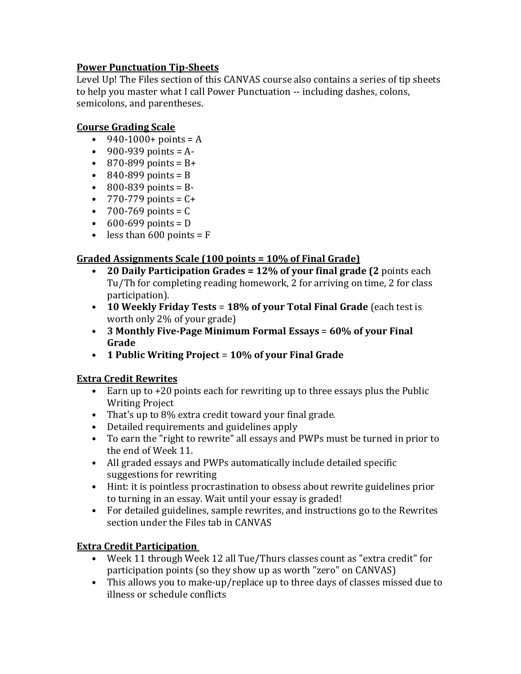## **Power Punctuation Tip-Sheets**

Level Up! The Files section of this CANVAS course also contains a series of tip sheets to help you master what I call Power Punctuation -- including dashes, colons, semicolons, and parentheses.

#### **Course Grading Scale**

- $940 1000 + \text{points} = A$
- 900-939 points =  $A-$
- 870-899 points =  $B+$
- $\cdot$  840-899 points = B
- 800-839 points =  $B -$
- $770 779$  points =  $C +$
- $700 769$  points = C
- $600 699$  points = D
- less than  $600$  points = F

## **Graded Assignments Scale (100 points = 10% of Final Grade)**

- **20 Daily Participation Grades = 12% of your final grade (2** points each Tu/Th for completing reading homework, 2 for arriving on time, 2 for class participation).
- **10 Weekly Friday Tests** = **18% of your Total Final Grade** (each test is worth only 2% of your grade)
- **3 Monthly Five-Page Minimum Formal Essays** = **60% of your Final Grade**
- **1 Public Writing Project** = **10% of your Final Grade**

## **Extra Credit Rewrites**

- Earn up to +20 points each for rewriting up to three essays plus the Public Writing Project
- That's up to 8% extra credit toward your final grade.
- Detailed requirements and guidelines apply
- To earn the "right to rewrite" all essays and PWPs must be turned in prior to the end of Week 11.
- All graded essays and PWPs automatically include detailed specific suggestions for rewriting
- Hint: it is pointless procrastination to obsess about rewrite guidelines prior to turning in an essay. Wait until your essay is graded!
- For detailed guidelines, sample rewrites, and instructions go to the Rewrites section under the Files tab in CANVAS

## **Extra Credit Participation**

- Week 11 through Week 12 all Tue/Thurs classes count as "extra credit" for participation points (so they show up as worth "zero" on CANVAS)
- This allows you to make-up/replace up to three days of classes missed due to illness or schedule conflicts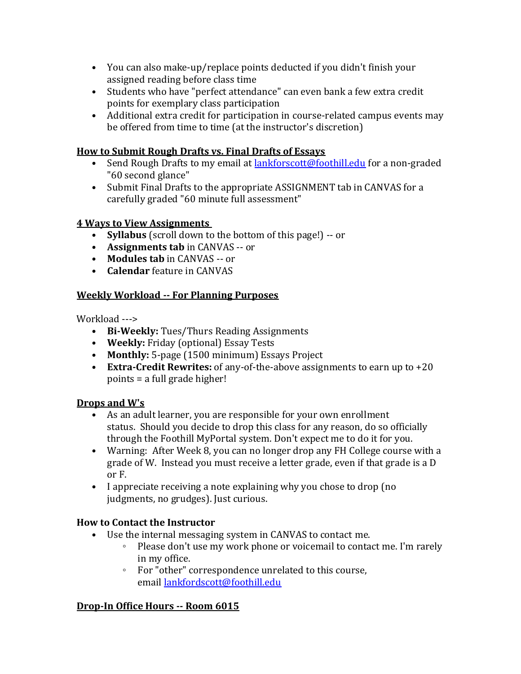- You can also make-up/replace points deducted if you didn't finish your assigned reading before class time
- Students who have "perfect attendance" can even bank a few extra credit points for exemplary class participation
- Additional extra credit for participation in course-related campus events may be offered from time to time (at the instructor's discretion)

## **How to Submit Rough Drafts vs. Final Drafts of Essays**

- Send Rough Drafts to my email at [lankforscott@foothill.edu](mailto:lankforscott@foothill.edu) for a non-graded "60 second glance"
- Submit Final Drafts to the appropriate ASSIGNMENT tab in CANVAS for a carefully graded "60 minute full assessment"

#### **4 Ways to View Assignments**

- **Syllabus** (scroll down to the bottom of this page!) -- or
- **Assignments tab** in CANVAS -- or
- **Modules tab** in CANVAS -- or
- **Calendar** feature in CANVAS

#### **Weekly Workload -- For Planning Purposes**

Workload --->

- **Bi-Weekly:** Tues/Thurs Reading Assignments
- **Weekly:** Friday (optional) Essay Tests
- **Monthly:** 5-page (1500 minimum) Essays Project
- **Extra-Credit Rewrites:** of any-of-the-above assignments to earn up to +20 points = a full grade higher!

#### **Drops and W's**

- As an adult learner, you are responsible for your own enrollment status. Should you decide to drop this class for any reason, do so officially through the Foothill MyPortal system. Don't expect me to do it for you.
- Warning: After Week 8, you can no longer drop any FH College course with a grade of W. Instead you must receive a letter grade, even if that grade is a D or F.
- I appreciate receiving a note explaining why you chose to drop (no judgments, no grudges). Just curious.

## **How to Contact the Instructor**

- Use the internal messaging system in CANVAS to contact me.
	- Please don't use my work phone or voicemail to contact me. I'm rarely in my office.
	- For "other" correspondence unrelated to this course, email [lankfordscott@foothill.edu](mailto:lankfordscott@foothill.edu)

## **Drop-In Office Hours -- Room 6015**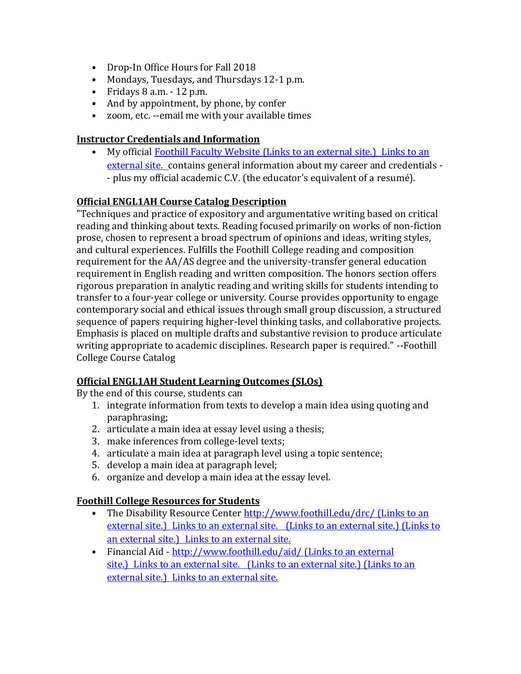- Drop-In Office Hours for Fall 2018
- Mondays, Tuesdays, and Thursdays 12-1 p.m.
- Fridays 8 a.m. 12 p.m.
- And by appointment, by phone, by confer
- zoom, etc. --email me with your available times

#### **Instructor Credentials and Information**

• My official Foothill Faculty Website [\(Links to an external site.\)](https://foothill.edu/directory/directory.html?s=1&rec_id=460) Links to an [external site.](https://foothill.edu/directory/directory.html?s=1&rec_id=460) contains general information about my career and credentials - - plus my official academic C.V. (the educator's equivalent of a resumé).

#### **Official ENGL1AH Course Catalog Description**

"Techniques and practice of expository and argumentative writing based on critical reading and thinking about texts. Reading focused primarily on works of non-fiction prose, chosen to represent a broad spectrum of opinions and ideas, writing styles, and cultural experiences. Fulfills the Foothill College reading and composition requirement for the AA/AS degree and the university-transfer general education requirement in English reading and written composition. The honors section offers rigorous preparation in analytic reading and writing skills for students intending to transfer to a four-year college or university. Course provides opportunity to engage contemporary social and ethical issues through small group discussion, a structured sequence of papers requiring higher-level thinking tasks, and collaborative projects. Emphasis is placed on multiple drafts and substantive revision to produce articulate writing appropriate to academic disciplines. Research paper is required." --Foothill College Course Catalog

## **Official ENGL1AH Student Learning Outcomes (SLOs)**

By the end of this course, students can

- 1. integrate information from texts to develop a main idea using quoting and paraphrasing;
- 2. articulate a main idea at essay level using a thesis;
- 3. make inferences from college-level texts;
- 4. articulate a main idea at paragraph level using a topic sentence;
- 5. develop a main idea at paragraph level;
- 6. organize and develop a main idea at the essay level.

## **Foothill College Resources for Students**

- The Disability Resource Center <http://www.foothill.edu/drc/> (Links to an external site.) Links to an external site. [\(Links to an external site.\)](http://www.foothill.edu/drc/) (Links to an external site.) [Links to an external site.](http://www.foothill.edu/drc/)
- Financial Aid <http://www.foothill.edu/aid/> (Links to an external site.) Links to an external site. [\(Links to an external site.\)](http://www.foothill.edu/aid/) (Links to an external site.) [Links to an external site.](http://www.foothill.edu/aid/)